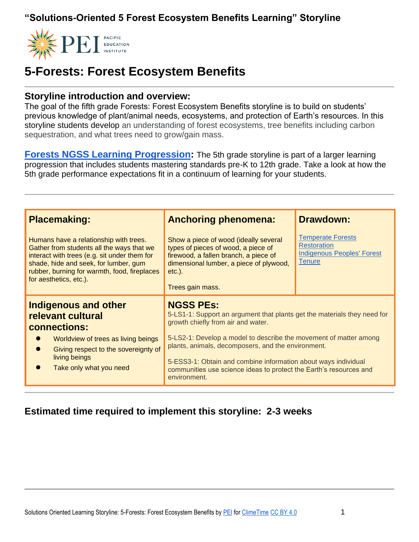

## **5-Forests: Forest Ecosystem Benefits**

#### **Storyline introduction and overview:**

The goal of the fifth grade Forests: Forest Ecosystem Benefits storyline is to build on students' previous knowledge of plant/animal needs, ecosystems, and protection of Earth's resources. In this storyline students develop an understanding of forest ecosystems, tree benefits including carbon sequestration, and what trees need to grow/gain mass.

**[Forests NGSS Learning Progression:](https://pacificeductioninstitute.sharepoint.com/:x:/s/Program/EYI7Fd4NTkBNncWNqRLJh6YBfX9Vw1py_cLvIPW5H66BXw?e=FgPM9q)** The 5th grade storyline is part of a larger learning progression that includes students mastering standards pre-K to 12th grade. Take a look at how the 5th grade performance expectations fit in a continuum of learning for your students.

| <b>Placemaking:</b>                                                                                                                                                                                                                                    | <b>Anchoring phenomena:</b>                                                                                                                                                                                                                                                                                                                                                                                           | <b>Drawdown:</b>                                                                                     |
|--------------------------------------------------------------------------------------------------------------------------------------------------------------------------------------------------------------------------------------------------------|-----------------------------------------------------------------------------------------------------------------------------------------------------------------------------------------------------------------------------------------------------------------------------------------------------------------------------------------------------------------------------------------------------------------------|------------------------------------------------------------------------------------------------------|
| Humans have a relationship with trees.<br>Gather from students all the ways that we<br>interact with trees (e.g. sit under them for<br>shade, hide and seek, for lumber, gum<br>rubber, burning for warmth, food, fireplaces<br>for aesthetics, etc.). | Show a piece of wood (ideally several<br>types of pieces of wood, a piece of<br>firewood, a fallen branch, a piece of<br>dimensional lumber, a piece of plywood,<br>$etc.$ ).<br>Trees gain mass.                                                                                                                                                                                                                     | <b>Temperate Forests</b><br><b>Restoration</b><br><b>Indigenous Peoples' Forest</b><br><b>Tenure</b> |
| <b>Indigenous and other</b><br>relevant cultural<br>connections:<br>Worldview of trees as living beings<br>Giving respect to the sovereignty of<br>living beings<br>Take only what you need                                                            | <b>NGSS PES:</b><br>5-LS1-1: Support an argument that plants get the materials they need for<br>growth chiefly from air and water.<br>5-LS2-1: Develop a model to describe the movement of matter among<br>plants, animals, decomposers, and the environment.<br>5-ESS3-1: Obtain and combine information about ways individual<br>communities use science ideas to protect the Earth's resources and<br>environment. |                                                                                                      |

#### **Estimated time required to implement this storyline: 2-3 weeks**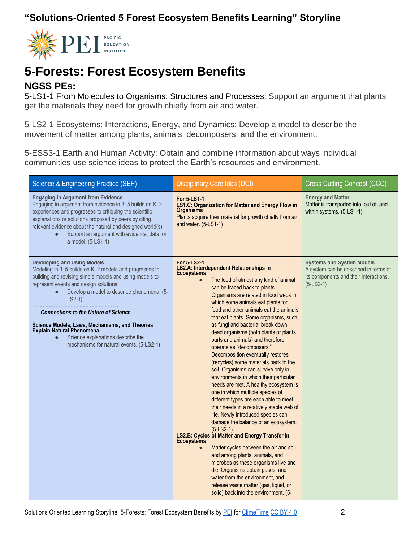

## **5-Forests: Forest Ecosystem Benefits**

#### **NGSS PEs:**

5-LS1-1 From Molecules to Organisms: Structures and Processes: Support an argument that plants get the materials they need for growth chiefly from air and water.

5-LS2-1 Ecosystems: Interactions, Energy, and Dynamics: Develop a model to describe the movement of matter among plants, animals, decomposers, and the environment.

5-ESS3-1 Earth and Human Activity: Obtain and combine information about ways individual communities use science ideas to protect the Earth's resources and environment.

| Science & Engineering Practice (SEP)                                                                                                                                                                                                                                                                                                                                                                                                                                              | <b>Disciplinary Core Idea (DCI)</b>                                                                                                                                                                                                                                                                                                                                                                                                                                                                                                                                                                                                                                                                                                                                                                                                                                                                                                                                                                                                                                                                                                                                                                                                                    | <b>Cross Cutting Concept (CCC)</b>                                                                                                 |
|-----------------------------------------------------------------------------------------------------------------------------------------------------------------------------------------------------------------------------------------------------------------------------------------------------------------------------------------------------------------------------------------------------------------------------------------------------------------------------------|--------------------------------------------------------------------------------------------------------------------------------------------------------------------------------------------------------------------------------------------------------------------------------------------------------------------------------------------------------------------------------------------------------------------------------------------------------------------------------------------------------------------------------------------------------------------------------------------------------------------------------------------------------------------------------------------------------------------------------------------------------------------------------------------------------------------------------------------------------------------------------------------------------------------------------------------------------------------------------------------------------------------------------------------------------------------------------------------------------------------------------------------------------------------------------------------------------------------------------------------------------|------------------------------------------------------------------------------------------------------------------------------------|
| <b>Engaging in Argument from Evidence</b><br>Engaging in argument from evidence in 3-5 builds on K-2<br>experiences and progresses to critiquing the scientific<br>explanations or solutions proposed by peers by citing<br>relevant evidence about the natural and designed world(s).<br>Support an argument with evidence, data, or<br>a model. (5-LS1-1)                                                                                                                       | <b>For 5-LS1-1</b><br><b>LS1.C: Organization for Matter and Energy Flow in</b><br>Organisms<br>Plants acquire their material for growth chiefly from air<br>and water. (5-LS1-1)                                                                                                                                                                                                                                                                                                                                                                                                                                                                                                                                                                                                                                                                                                                                                                                                                                                                                                                                                                                                                                                                       | <b>Energy and Matter</b><br>Matter is transported into, out of, and<br>within systems. (5-LS1-1)                                   |
| <b>Developing and Using Models</b><br>Modeling in 3-5 builds on K-2 models and progresses to<br>building and revising simple models and using models to<br>represent events and design solutions.<br>Develop a model to describe phenomena. (5-<br>$LS2-1)$<br><b>Connections to the Nature of Science</b><br>Science Models, Laws, Mechanisms, and Theories<br><b>Explain Natural Phenomena</b><br>Science explanations describe the<br>mechanisms for natural events. (5-LS2-1) | <b>For 5-LS2-1</b><br>LS2.A: Interdependent Relationships in<br>Ecosystems<br>The food of almost any kind of animal<br>can be traced back to plants.<br>Organisms are related in food webs in<br>which some animals eat plants for<br>food and other animals eat the animals<br>that eat plants. Some organisms, such<br>as fungi and bacteria, break down<br>dead organisms (both plants or plants<br>parts and animals) and therefore<br>operate as "decomposers."<br>Decomposition eventually restores<br>(recycles) some materials back to the<br>soil. Organisms can survive only in<br>environments in which their particular<br>needs are met. A healthy ecosystem is<br>one in which multiple species of<br>different types are each able to meet<br>their needs in a relatively stable web of<br>life. Newly introduced species can<br>damage the balance of an ecosystem.<br>$(5-LS2-1)$<br>LS2.B: Cycles of Matter and Energy Transfer in<br><b>Ecosystems</b><br>Matter cycles between the air and soil<br>and among plants, animals, and<br>microbes as these organisms live and<br>die. Organisms obtain gases, and<br>water from the environment, and<br>release waste matter (gas, liquid, or<br>solid) back into the environment. (5- | <b>Systems and System Models</b><br>A system can be described in terms of<br>its components and their interactions.<br>$(5-LS2-1)$ |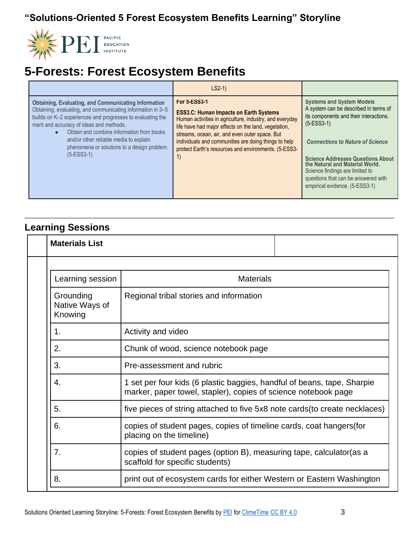

# **5-Forests: Forest Ecosystem Benefits**

|                                                                                                                                                                                                                                                                                                                                                                                            | $LS2-1)$                                                                                                                                                                                                                                                                                                                                                        |                                                                                                                                                                                                                                                                                                                                                                           |
|--------------------------------------------------------------------------------------------------------------------------------------------------------------------------------------------------------------------------------------------------------------------------------------------------------------------------------------------------------------------------------------------|-----------------------------------------------------------------------------------------------------------------------------------------------------------------------------------------------------------------------------------------------------------------------------------------------------------------------------------------------------------------|---------------------------------------------------------------------------------------------------------------------------------------------------------------------------------------------------------------------------------------------------------------------------------------------------------------------------------------------------------------------------|
| <b>Obtaining, Evaluating, and Communicating Information</b><br>Obtaining, evaluating, and communicating information in 3-5<br>builds on K-2 experiences and progresses to evaluating the<br>merit and accuracy of ideas and methods.<br>Obtain and combine information from books<br>and/or other reliable media to explain<br>phenomena or solutions to a design problem.<br>$(5-ESS3-1)$ | <b>For 5-ESS3-1</b><br><b>ESS3.C: Human Impacts on Earth Systems</b><br>Human activities in agriculture, industry, and everyday<br>life have had major effects on the land, vegetation,<br>streams, ocean, air, and even outer space. But<br>individuals and communities are doing things to help<br>protect Earth's resources and environments. (5-ESS3-<br>1) | <b>Systems and System Models</b><br>A system can be described in terms of<br>its components and their interactions.<br>$(5-ESS3-1)$<br><b>Connections to Nature of Science</b><br><b>Science Addresses Questions About</b><br>the Natural and Material World.<br>Science findings are limited to<br>questions that can be answered with<br>empirical evidence. (5-ESS3-1) |

### **Learning Sessions**

| <b>Materials List</b>                  |                                                                                                                                           |
|----------------------------------------|-------------------------------------------------------------------------------------------------------------------------------------------|
|                                        |                                                                                                                                           |
| Learning session                       | <b>Materials</b>                                                                                                                          |
| Grounding<br>Native Ways of<br>Knowing | Regional tribal stories and information                                                                                                   |
| 1.                                     | Activity and video                                                                                                                        |
| 2.                                     | Chunk of wood, science notebook page                                                                                                      |
| 3.                                     | Pre-assessment and rubric                                                                                                                 |
| 4.                                     | 1 set per four kids (6 plastic baggies, handful of beans, tape, Sharpie<br>marker, paper towel, stapler), copies of science notebook page |
| 5.                                     | five pieces of string attached to five 5x8 note cards (to create necklaces)                                                               |
| 6.                                     | copies of student pages, copies of timeline cards, coat hangers (for<br>placing on the timeline)                                          |
| 7.                                     | copies of student pages (option B), measuring tape, calculator (as a<br>scaffold for specific students)                                   |
| 8.                                     | print out of ecosystem cards for either Western or Eastern Washington                                                                     |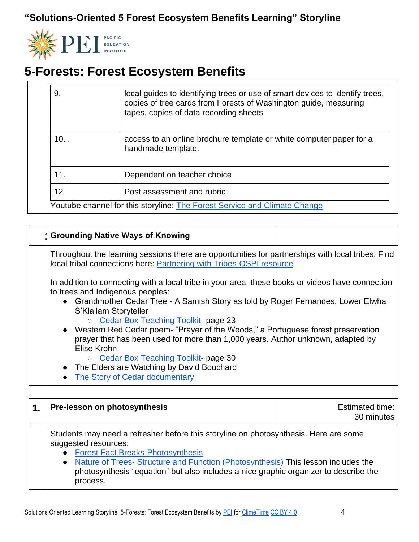

# **5-Forests: Forest Ecosystem Benefits**

| 9.      | local guides to identifying trees or use of smart devices to identify trees,<br>copies of tree cards from Forests of Washington guide, measuring<br>tapes, copies of data recording sheets |
|---------|--------------------------------------------------------------------------------------------------------------------------------------------------------------------------------------------|
| $10.$ . | access to an online brochure template or white computer paper for a<br>handmade template.                                                                                                  |
| 11.     | Dependent on teacher choice                                                                                                                                                                |
| 12      | Post assessment and rubric                                                                                                                                                                 |
|         | Youtube channel for this storyline: The Forest Service and Climate Change                                                                                                                  |

| <b>Grounding Native Ways of Knowing</b>                                                                                                                                                                                                                                                                                                                                                                                                                                                                                                                                                                        |  |
|----------------------------------------------------------------------------------------------------------------------------------------------------------------------------------------------------------------------------------------------------------------------------------------------------------------------------------------------------------------------------------------------------------------------------------------------------------------------------------------------------------------------------------------------------------------------------------------------------------------|--|
| Throughout the learning sessions there are opportunities for partnerships with local tribes. Find<br>local tribal connections here: Partnering with Tribes-OSPI resource                                                                                                                                                                                                                                                                                                                                                                                                                                       |  |
| In addition to connecting with a local tribe in your area, these books or videos have connection<br>to trees and Indigenous peoples:<br>• Grandmother Cedar Tree - A Samish Story as told by Roger Fernandes, Lower Elwha<br>S'Klallam Storyteller<br>o Cedar Box Teaching Toolkit- page 23<br>• Western Red Cedar poem- "Prayer of the Woods," a Portuguese forest preservation<br>prayer that has been used for more than 1,000 years. Author unknown, adapted by<br>Elise Krohn<br>○ Cedar Box Teaching Toolkit- page 30<br>• The Elders are Watching by David Bouchard<br>• The Story of Cedar documentary |  |

| Pre-lesson on photosynthesis                                                                                                                                                                                                                                                                                                                   | Estimated time:<br>30 minutes |
|------------------------------------------------------------------------------------------------------------------------------------------------------------------------------------------------------------------------------------------------------------------------------------------------------------------------------------------------|-------------------------------|
| Students may need a refresher before this storyline on photosynthesis. Here are some<br>suggested resources:<br>• Forest Fact Breaks-Photosynthesis<br>• Nature of Trees- Structure and Function (Photosynthesis) This lesson includes the<br>photosynthesis "equation" but also includes a nice graphic organizer to describe the<br>process. |                               |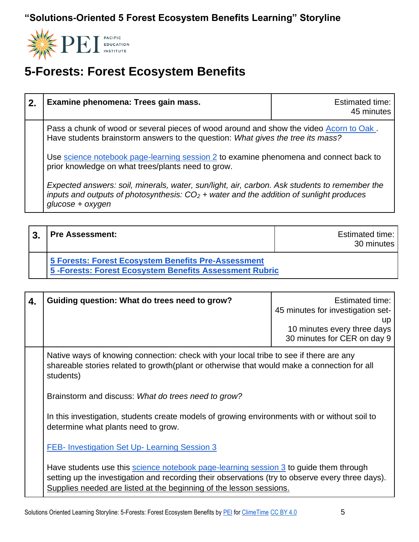

# **5-Forests: Forest Ecosystem Benefits**

| 2. | Examine phenomena: Trees gain mass.                                                                                                                                                                            | <b>Estimated time:</b><br>45 minutes |
|----|----------------------------------------------------------------------------------------------------------------------------------------------------------------------------------------------------------------|--------------------------------------|
|    | Pass a chunk of wood or several pieces of wood around and show the video Acorn to Oak.<br>Have students brainstorm answers to the question: What gives the tree its mass?                                      |                                      |
|    | Use science notebook page-learning session 2 to examine phenomena and connect back to<br>prior knowledge on what trees/plants need to grow.                                                                    |                                      |
|    | Expected answers: soil, minerals, water, sun/light, air, carbon. Ask students to remember the<br>inputs and outputs of photosynthesis: $CO2$ + water and the addition of sunlight produces<br>glucose + oxygen |                                      |

| 3 | <b>Pre Assessment:</b>                                                                                        | Estimated time:<br>30 minutes |
|---|---------------------------------------------------------------------------------------------------------------|-------------------------------|
|   | 5 Forests: Forest Ecosystem Benefits Pre-Assessment<br>5-Forests: Forest Ecosystem Benefits Assessment Rubric |                               |

| 4. | Guiding question: What do trees need to grow?                                                                                                                                                                                                                                                                                                                                                     | <b>Estimated time:</b><br>45 minutes for investigation set-<br>up<br>10 minutes every three days<br>30 minutes for CER on day 9 |
|----|---------------------------------------------------------------------------------------------------------------------------------------------------------------------------------------------------------------------------------------------------------------------------------------------------------------------------------------------------------------------------------------------------|---------------------------------------------------------------------------------------------------------------------------------|
|    | Native ways of knowing connection: check with your local tribe to see if there are any<br>shareable stories related to growth(plant or otherwise that would make a connection for all<br>students)<br>Brainstorm and discuss: What do trees need to grow?<br>In this investigation, students create models of growing environments with or without soil to<br>determine what plants need to grow. |                                                                                                                                 |
|    |                                                                                                                                                                                                                                                                                                                                                                                                   |                                                                                                                                 |
|    |                                                                                                                                                                                                                                                                                                                                                                                                   |                                                                                                                                 |
|    | <b>FEB- Investigation Set Up- Learning Session 3</b>                                                                                                                                                                                                                                                                                                                                              |                                                                                                                                 |
|    | Have students use this science notebook page-learning session 3 to guide them through<br>setting up the investigation and recording their observations (try to observe every three days).<br>Supplies needed are listed at the beginning of the lesson sessions.                                                                                                                                  |                                                                                                                                 |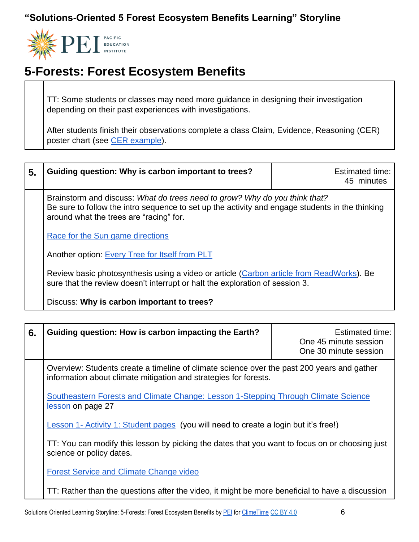

# **5-Forests: Forest Ecosystem Benefits**

TT: Some students or classes may need more guidance in designing their investigation depending on their past experiences with investigations.

After students finish their observations complete a class Claim, Evidence, Reasoning (CER) poster chart (see [CER example\)](https://pacificeductioninstitute.sharepoint.com/:w:/s/Program/EQuiXdREEhpAtHxzyF6GIKkBjgYlaLy3V30ZLotXwnXWng?e=aLlhA0).

| 5. | Guiding question: Why is carbon important to trees?                                                                                                                                                                      | <b>Estimated time:</b><br>45 minutes |
|----|--------------------------------------------------------------------------------------------------------------------------------------------------------------------------------------------------------------------------|--------------------------------------|
|    | Brainstorm and discuss: What do trees need to grow? Why do you think that?<br>Be sure to follow the intro sequence to set up the activity and engage students in the thinking<br>around what the trees are "racing" for. |                                      |
|    | Race for the Sun game directions                                                                                                                                                                                         |                                      |
|    | Another option: Every Tree for Itself from PLT                                                                                                                                                                           |                                      |
|    | Review basic photosynthesis using a video or article (Carbon article from ReadWorks). Be<br>sure that the review doesn't interrupt or halt the exploration of session 3.                                                 |                                      |
|    | Discuss: Why is carbon important to trees?                                                                                                                                                                               |                                      |

| 6. | Guiding question: How is carbon impacting the Earth?                                                                                                                                                                      | Estimated time:<br>One 45 minute session<br>One 30 minute session |
|----|---------------------------------------------------------------------------------------------------------------------------------------------------------------------------------------------------------------------------|-------------------------------------------------------------------|
|    | Overview: Students create a timeline of climate science over the past 200 years and gather<br>information about climate mitigation and strategies for forests.                                                            |                                                                   |
|    | Southeastern Forests and Climate Change: Lesson 1-Stepping Through Climate Science<br>lesson on page 27                                                                                                                   |                                                                   |
|    | <b>Lesson 1- Activity 1: Student pages</b> (you will need to create a login but it's free!)<br>TT: You can modify this lesson by picking the dates that you want to focus on or choosing just<br>science or policy dates. |                                                                   |
|    |                                                                                                                                                                                                                           |                                                                   |
|    | <b>Forest Service and Climate Change video</b>                                                                                                                                                                            |                                                                   |
|    | TT: Rather than the questions after the video, it might be more beneficial to have a discussion                                                                                                                           |                                                                   |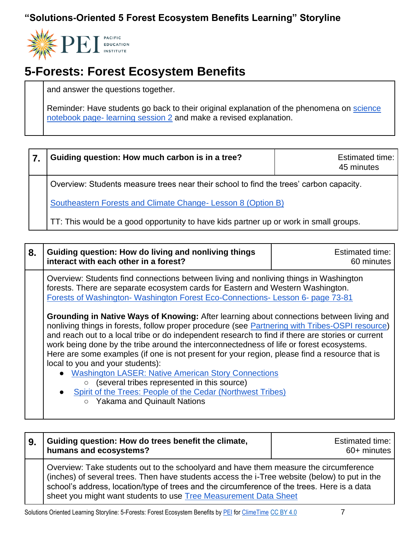

## **5-Forests: Forest Ecosystem Benefits**

and answer the questions together.

Reminder: Have students go back to their original explanation of the phenomena on science notebook page- [learning session 2](https://pacificeductioninstitute.sharepoint.com/:w:/s/Program/EcjJ2URdNcpIn2IMo5BtS5sBPQPEeRx3yqKhmzg4YPMUdA?e=OTshgQ) and make a revised explanation.

| 7. | Guiding question: How much carbon is in a tree?                                        | Estimated time:<br>45 minutes |
|----|----------------------------------------------------------------------------------------|-------------------------------|
|    | Overview: Students measure trees near their school to find the trees' carbon capacity. |                               |
|    | Southeastern Forests and Climate Change- Lesson 8 (Option B)                           |                               |
|    | TT: This would be a good opportunity to have kids partner up or work in small groups.  |                               |

| 8. | Guiding question: How do living and nonliving things<br>interact with each other in a forest?                                                                                                                                                                                                                                                                                                                                                                                                                                                                                                                                                                                                                                                                                                                                                                                                                                                                                                                                             | <b>Estimated time:</b><br>60 minutes |
|----|-------------------------------------------------------------------------------------------------------------------------------------------------------------------------------------------------------------------------------------------------------------------------------------------------------------------------------------------------------------------------------------------------------------------------------------------------------------------------------------------------------------------------------------------------------------------------------------------------------------------------------------------------------------------------------------------------------------------------------------------------------------------------------------------------------------------------------------------------------------------------------------------------------------------------------------------------------------------------------------------------------------------------------------------|--------------------------------------|
|    | Overview: Students find connections between living and nonliving things in Washington<br>forests. There are separate ecosystem cards for Eastern and Western Washington.<br>Forests of Washington-Washington Forest Eco-Connections-Lesson 6- page 73-81<br><b>Grounding in Native Ways of Knowing:</b> After learning about connections between living and<br>nonliving things in forests, follow proper procedure (see Partnering with Tribes-OSPI resource)<br>and reach out to a local tribe or do independent research to find if there are stories or current<br>work being done by the tribe around the interconnectedness of life or forest ecosystems.<br>Here are some examples (if one is not present for your region, please find a resource that is<br>local to you and your students):<br>• Washington LASER: Native American Story Connections<br>(several tribes represented in this source)<br>$\circ$<br>• Spirit of the Trees: People of the Cedar (Northwest Tribes)<br><b>Yakama and Quinault Nations</b><br>$\circ$ |                                      |
|    |                                                                                                                                                                                                                                                                                                                                                                                                                                                                                                                                                                                                                                                                                                                                                                                                                                                                                                                                                                                                                                           |                                      |

| 9. | Guiding question: How do trees benefit the climate,<br>humans and ecosystems?                                                                                                                                                                                                                                                                             | Estimated time:  <br>60+ minutes |
|----|-----------------------------------------------------------------------------------------------------------------------------------------------------------------------------------------------------------------------------------------------------------------------------------------------------------------------------------------------------------|----------------------------------|
|    | Overview: Take students out to the schoolyard and have them measure the circumference<br>(inches) of several trees. Then have students access the i-Tree website (below) to put in the<br>school's address, location/type of trees and the circumference of the trees. Here is a data<br>sheet you might want students to use Tree Measurement Data Sheet |                                  |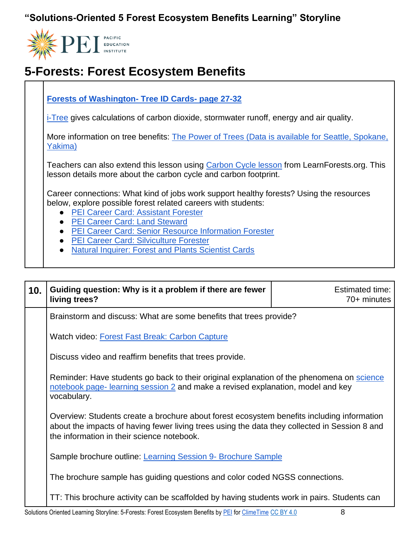

## **5-Forests: Forest Ecosystem Benefits**

#### **[Forests of Washington-](https://1ekryb746l31vb9z22pz51o9-wpengine.netdna-ssl.com/wp-content/uploads/2018/01/Forests-of-Washington-Forest-Ecosystems-and-People-Activity-Guide-reduced.pdf) Tree ID Cards- page 27-32**

[i-Tree](https://design.itreetools.org/) gives calculations of carbon dioxide, stormwater runoff, energy and air quality.

More information on tree benefits: [The Power of Trees \(Data is available for Seattle, Spokane,](https://www.climatecentral.org/gallery/graphics/the-widespread-climate-benefits-of-trees)  [Yakima\)](https://www.climatecentral.org/gallery/graphics/the-widespread-climate-benefits-of-trees)

Teachers can also extend this lesson using [Carbon Cycle lesson](https://pacificeductioninstitute.sharepoint.com/:b:/s/Program/Ec8wgE670-pKmBBq3gFkolcB2SNdWI9WfnaXn3kf5JR3wQ?e=6aj67m) from LearnForests.org. This lesson details more about the carbon cycle and carbon footprint.

Career connections: What kind of jobs work support healthy forests? Using the resources below, explore possible forest related careers with students:

- [PEI Career Card: Assistant Forester](https://1ekryb746l31vb9z22pz51o9-wpengine.netdna-ssl.com/wp-content/uploads/2020/04/Assistant-Forester-Ciara-Fenimore-Career-Profile.pdf)
- [PEI Career Card: Land Steward](https://1ekryb746l31vb9z22pz51o9-wpengine.netdna-ssl.com/wp-content/uploads/2020/04/Land-Steward-Addie-Schlussel-Career-Profile.pdf)
- [PEI Career Card: Senior Resource Information Forester](https://1ekryb746l31vb9z22pz51o9-wpengine.netdna-ssl.com/wp-content/uploads/2020/04/Senior-Resource-Information-Forester-Trent-Warness-Career-Profile.pdf)
- [PEI Career Card: Silviculture Forester](https://1ekryb746l31vb9z22pz51o9-wpengine.netdna-ssl.com/wp-content/uploads/2020/04/Silviculture-Forester-Jacob-Sullivan-Career-Profile.pdf)
- **[Natural Inquirer: Forest and Plants Scientist Cards](http://www.naturalinquirer.org/Forest-and-Plant-Scientist-Cards-v-190.html)**

| 10. | Guiding question: Why is it a problem if there are fewer<br>living trees?                                                                                                                                                                 | <b>Estimated time:</b><br>70+ minutes |
|-----|-------------------------------------------------------------------------------------------------------------------------------------------------------------------------------------------------------------------------------------------|---------------------------------------|
|     | Brainstorm and discuss: What are some benefits that trees provide?                                                                                                                                                                        |                                       |
|     | Watch video: Forest Fast Break: Carbon Capture                                                                                                                                                                                            |                                       |
|     | Discuss video and reaffirm benefits that trees provide.                                                                                                                                                                                   |                                       |
|     | Reminder: Have students go back to their original explanation of the phenomena on science<br>notebook page-learning session 2 and make a revised explanation, model and key<br>vocabulary.                                                |                                       |
|     | Overview: Students create a brochure about forest ecosystem benefits including information<br>about the impacts of having fewer living trees using the data they collected in Session 8 and<br>the information in their science notebook. |                                       |
|     | Sample brochure outline: Learning Session 9- Brochure Sample                                                                                                                                                                              |                                       |
|     | The brochure sample has guiding questions and color coded NGSS connections.                                                                                                                                                               |                                       |
|     | TT: This brochure activity can be scaffolded by having students work in pairs. Students can                                                                                                                                               |                                       |